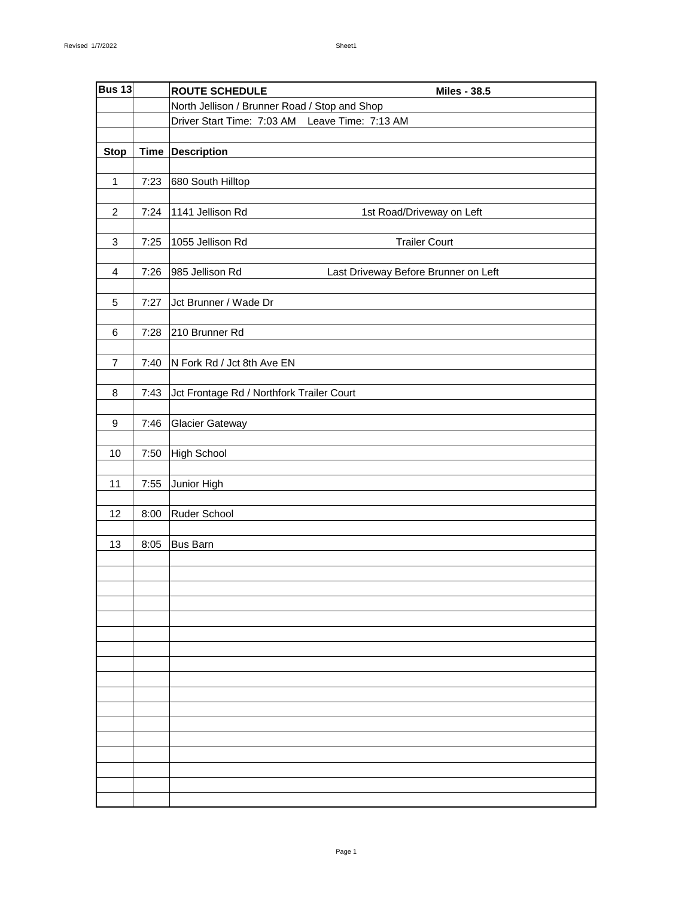| <b>Bus 13</b>             |      | <b>ROUTE SCHEDULE</b><br><b>Miles - 38.5</b>            |
|---------------------------|------|---------------------------------------------------------|
|                           |      | North Jellison / Brunner Road / Stop and Shop           |
|                           |      | Driver Start Time: 7:03 AM Leave Time: 7:13 AM          |
|                           |      |                                                         |
| <b>Stop</b>               |      | Time Description                                        |
|                           |      |                                                         |
| $\mathbf{1}$              | 7:23 | 680 South Hilltop                                       |
|                           |      |                                                         |
| $\overline{2}$            | 7:24 | 1141 Jellison Rd<br>1st Road/Driveway on Left           |
|                           |      |                                                         |
| $\ensuremath{\mathsf{3}}$ | 7:25 | 1055 Jellison Rd<br><b>Trailer Court</b>                |
|                           |      |                                                         |
| $\overline{4}$            | 7:26 | 985 Jellison Rd<br>Last Driveway Before Brunner on Left |
|                           |      |                                                         |
| $\sqrt{5}$                | 7:27 | Jct Brunner / Wade Dr                                   |
|                           |      |                                                         |
| $\,6$                     | 7:28 | 210 Brunner Rd                                          |
|                           |      |                                                         |
| 7                         | 7:40 | N Fork Rd / Jct 8th Ave EN                              |
|                           |      |                                                         |
| 8                         | 7:43 | Jct Frontage Rd / Northfork Trailer Court               |
|                           |      |                                                         |
| 9                         | 7:46 | <b>Glacier Gateway</b>                                  |
|                           |      |                                                         |
| 10                        | 7:50 | High School                                             |
|                           |      |                                                         |
| 11                        | 7:55 | Junior High                                             |
|                           |      |                                                         |
| 12                        | 8:00 | Ruder School                                            |
|                           |      |                                                         |
| 13                        | 8:05 | Bus Barn                                                |
|                           |      |                                                         |
|                           |      |                                                         |
|                           |      |                                                         |
|                           |      |                                                         |
|                           |      |                                                         |
|                           |      |                                                         |
|                           |      |                                                         |
|                           |      |                                                         |
|                           |      |                                                         |
|                           |      |                                                         |
|                           |      |                                                         |
|                           |      |                                                         |
|                           |      |                                                         |
|                           |      |                                                         |
|                           |      |                                                         |
|                           |      |                                                         |